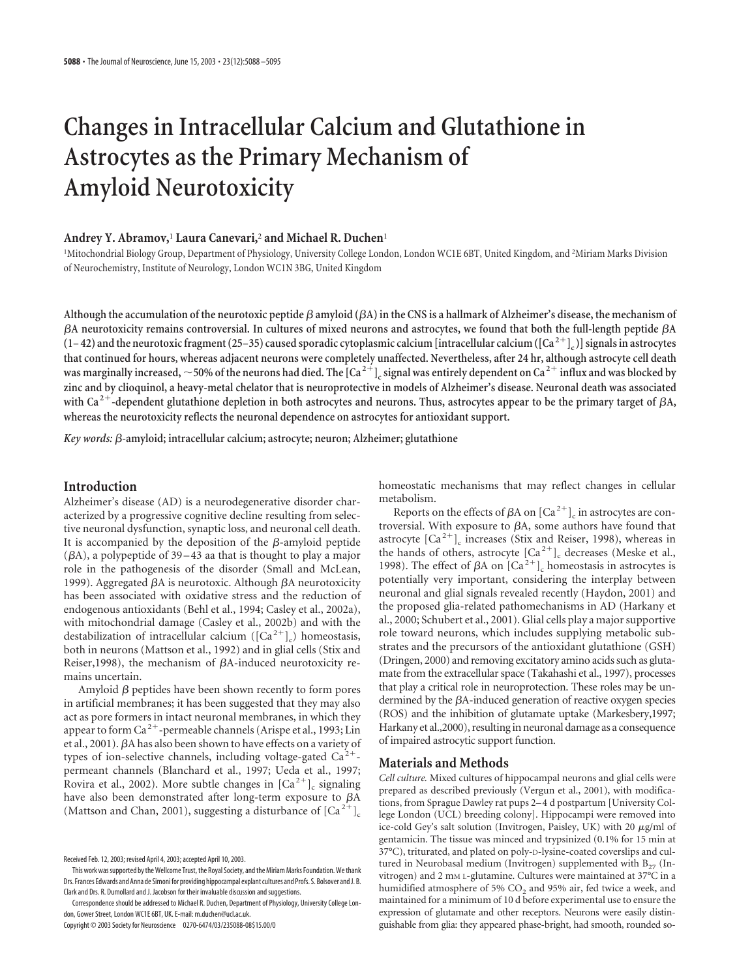# **Changes in Intracellular Calcium and Glutathione in Astrocytes as the Primary Mechanism of Amyloid Neurotoxicity**

## **Andrey Y. Abramov,**<sup>1</sup> **Laura Canevari,**<sup>2</sup> **and Michael R. Duchen**<sup>1</sup>

<sup>1</sup>Mitochondrial Biology Group, Department of Physiology, University College London, London WC1E 6BT, United Kingdom, and <sup>2</sup>Miriam Marks Division of Neurochemistry, Institute of Neurology, London WC1N 3BG, United Kingdom

Although the accumulation of the neurotoxic peptide  $\beta$  amyloid  $(\beta A)$  in the CNS is a hallmark of Alzheimer's disease, the mechanism of **A neurotoxicity remains controversial. In cultures of mixed neurons and astrocytes, we found that both the full-length peptide A**  $(1-42)$  and the neurotoxic fragment  $(25-35)$  caused sporadic cytoplasmic calcium [intracellular calcium  $(\lfloor Ca^{2+} \rfloor_c)$ ] signals in astrocytes **that continued for hours, whereas adjacent neurons were completely unaffected. Nevertheless, after 24 hr, although astrocyte cell death** was marginally increased,  $\sim$  50% of the neurons had died. The  $[Ca^{2+}]_c$  signal was entirely dependent on  $Ca^{2+}$  influx and was blocked by **zinc and by clioquinol, a heavy-metal chelator that is neuroprotective in models of Alzheimer's disease. Neuronal death was associated** with Ca<sup>2+</sup>-dependent glutathione depletion in both astrocytes and neurons. Thus, astrocytes appear to be the primary target of  $\beta A$ , **whereas the neurotoxicity reflects the neuronal dependence on astrocytes for antioxidant support.**

*Key words: β*-amyloid; intracellular calcium; astrocyte; neuron; Alzheimer; glutathione

# **Introduction**

Alzheimer's disease (AD) is a neurodegenerative disorder characterized by a progressive cognitive decline resulting from selective neuronal dysfunction, synaptic loss, and neuronal cell death. It is accompanied by the deposition of the  $\beta$ -amyloid peptide  $(\beta A)$ , a polypeptide of 39–43 aa that is thought to play a major role in the pathogenesis of the disorder (Small and McLean, 1999). Aggregated  $\beta A$  is neurotoxic. Although  $\beta A$  neurotoxicity has been associated with oxidative stress and the reduction of endogenous antioxidants (Behl et al., 1994; Casley et al., 2002a), with mitochondrial damage (Casley et al., 2002b) and with the destabilization of intracellular calcium ( $\left[Ca^{2+}\right]_{c}$ ) homeostasis, both in neurons (Mattson et al., 1992) and in glial cells (Stix and Reiser, 1998), the mechanism of  $\beta$ A-induced neurotoxicity remains uncertain.

Amyloid  $\beta$  peptides have been shown recently to form pores in artificial membranes; it has been suggested that they may also act as pore formers in intact neuronal membranes, in which they appear to form Ca<sup>2+</sup>-permeable channels (Arispe et al., 1993; Lin et al., 2001). A has also been shown to have effects on a variety of types of ion-selective channels, including voltage-gated  $Ca^{2+}$ permeant channels (Blanchard et al., 1997; Ueda et al., 1997; Rovira et al., 2002). More subtle changes in  $[Ca^{2+}]_c$  signaling have also been demonstrated after long-term exposure to  $\beta A$ (Mattson and Chan, 2001), suggesting a disturbance of  $\lbrack Ca^{2+}\rbrack _c$ 

Copyright © 2003 Society for Neuroscience 0270-6474/03/235088-08\$15.00/0

homeostatic mechanisms that may reflect changes in cellular metabolism.

Reports on the effects of  $\beta A$  on  $\left[Ca^{2+}\right]_c$  in astrocytes are controversial. With exposure to  $\beta A$ , some authors have found that astrocyte  $\left[Ca^{2+}\right]$ <sub>c</sub> increases (Stix and Reiser, 1998), whereas in the hands of others, astrocyte  $\left[Ca^{2+}\right]$ <sub>c</sub> decreases (Meske et al., 1998). The effect of  $\beta A$  on  $\left[Ca^{2+}\right]_c$  homeostasis in astrocytes is potentially very important, considering the interplay between neuronal and glial signals revealed recently (Haydon, 2001) and the proposed glia-related pathomechanisms in AD (Harkany et al., 2000; Schubert et al., 2001). Glial cells play a major supportive role toward neurons, which includes supplying metabolic substrates and the precursors of the antioxidant glutathione (GSH) (Dringen, 2000) and removing excitatory amino acids such as glutamate from the extracellular space (Takahashi et al., 1997), processes that play a critical role in neuroprotection. These roles may be undermined by the  $\beta$ A-induced generation of reactive oxygen species (ROS) and the inhibition of glutamate uptake (Markesbery,1997; Harkany et al.,2000), resulting in neuronal damage as a consequence of impaired astrocytic support function.

### **Materials and Methods**

*Cell culture.* Mixed cultures of hippocampal neurons and glial cells were prepared as described previously (Vergun et al., 2001), with modifications, from Sprague Dawley rat pups 2– 4 d postpartum [University College London (UCL) breeding colony]. Hippocampi were removed into ice-cold Gey's salt solution (Invitrogen, Paisley, UK) with 20  $\mu$ g/ml of gentamicin. The tissue was minced and trypsinized (0.1% for 15 min at 37°C), triturated, and plated on poly-D-lysine-coated coverslips and cultured in Neurobasal medium (Invitrogen) supplemented with  $B_{27}$  (Invitrogen) and 2 mM L-glutamine. Cultures were maintained at 37°C in a humidified atmosphere of 5% CO<sub>2</sub> and 95% air, fed twice a week, and maintained for a minimum of 10 d before experimental use to ensure the expression of glutamate and other receptors. Neurons were easily distinguishable from glia: they appeared phase-bright, had smooth, rounded so-

Received Feb. 12, 2003; revised April 4, 2003; accepted April 10, 2003.

This work was supported by the Wellcome Trust, the Royal Society, and the Miriam Marks Foundation. We thank Drs. Frances Edwards and Anna de Simoni for providing hippocampal explant cultures and Profs. S. Bolsover and J. B. Clark and Drs. R. Dumollard and J. Jacobson for their invaluable discussion and suggestions.

Correspondence should be addressed to Michael R. Duchen, Department of Physiology, University College London, Gower Street, London WC1E 6BT, UK. E-mail: m.duchen@ucl.ac.uk.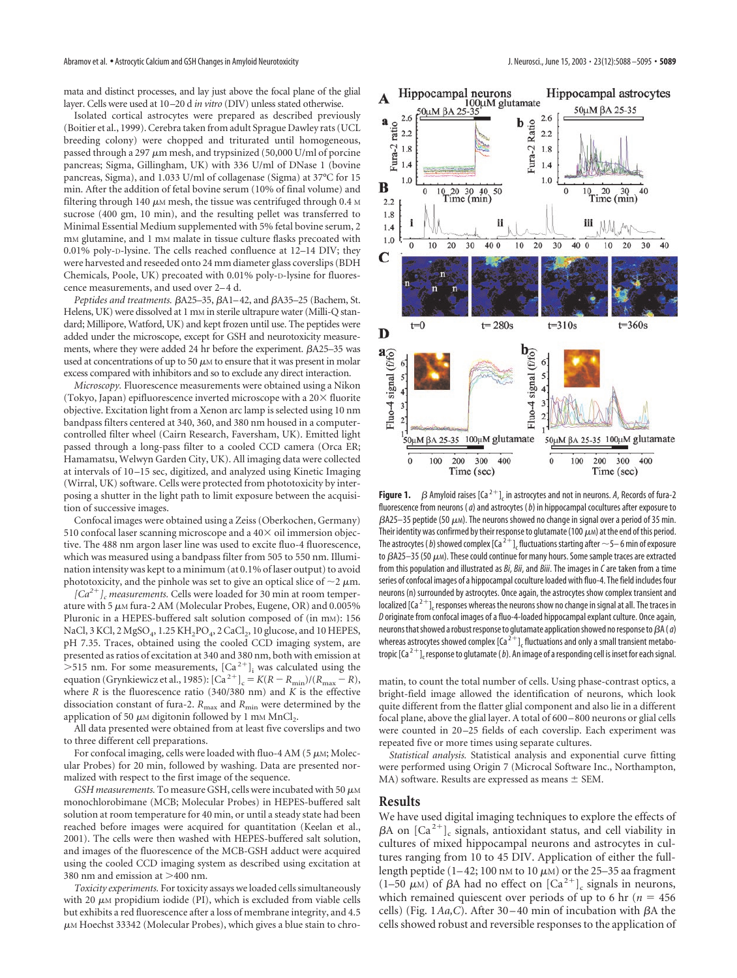mata and distinct processes, and lay just above the focal plane of the glial layer. Cells were used at 10–20 d *in vitro* (DIV) unless stated otherwise.

Isolated cortical astrocytes were prepared as described previously (Boitier et al., 1999). Cerebra taken from adult Sprague Dawley rats (UCL breeding colony) were chopped and triturated until homogeneous, passed through a 297  $\mu$ m mesh, and trypsinized (50,000 U/ml of porcine pancreas; Sigma, Gillingham, UK) with 336 U/ml of DNase 1 (bovine pancreas, Sigma), and 1.033 U/ml of collagenase (Sigma) at 37°C for 15 min. After the addition of fetal bovine serum (10% of final volume) and filtering through 140  $\mu$ м mesh, the tissue was centrifuged through 0.4 м sucrose (400 gm, 10 min), and the resulting pellet was transferred to Minimal Essential Medium supplemented with 5% fetal bovine serum, 2 mM glutamine, and 1 mM malate in tissue culture flasks precoated with 0.01% poly-D-lysine. The cells reached confluence at 12–14 DIV; they were harvested and reseeded onto 24 mm diameter glass coverslips (BDH Chemicals, Poole, UK) precoated with 0.01% poly-D-lysine for fluorescence measurements, and used over 2–4 d.

Peptides and treatments.  $\beta$ A25-35,  $\beta$ A1-42, and  $\beta$ A35-25 (Bachem, St. Helens, UK) were dissolved at 1 mm in sterile ultrapure water (Milli-Q standard; Millipore, Watford, UK) and kept frozen until use. The peptides were added under the microscope, except for GSH and neurotoxicity measurements, where they were added 24 hr before the experiment.  $\beta$ A25–35 was used at concentrations of up to 50  $\mu$ m to ensure that it was present in molar excess compared with inhibitors and so to exclude any direct interaction.

*Microscopy.* Fluorescence measurements were obtained using a Nikon (Tokyo, Japan) epifluorescence inverted microscope with a  $20\times$  fluorite objective. Excitation light from a Xenon arc lamp is selected using 10 nm bandpass filters centered at 340, 360, and 380 nm housed in a computercontrolled filter wheel (Cairn Research, Faversham, UK). Emitted light passed through a long-pass filter to a cooled CCD camera (Orca ER; Hamamatsu, Welwyn Garden City, UK). All imaging data were collected at intervals of 10–15 sec, digitized, and analyzed using Kinetic Imaging (Wirral, UK) software. Cells were protected from phototoxicity by interposing a shutter in the light path to limit exposure between the acquisition of successive images.

Confocal images were obtained using a Zeiss (Oberkochen, Germany) 510 confocal laser scanning microscope and a  $40\times$  oil immersion objective. The 488 nm argon laser line was used to excite fluo-4 fluorescence, which was measured using a bandpass filter from 505 to 550 nm. Illumination intensity was kept to a minimum (at 0.1% of laser output) to avoid phototoxicity, and the pinhole was set to give an optical slice of  $\sim$ 2  $\mu$ m.

 $[Ca^{2+}]$ <sub>c</sub> measurements. Cells were loaded for 30 min at room temperature with 5  $\mu$ м fura-2 AM (Molecular Probes, Eugene, OR) and 0.005% Pluronic in a HEPES-buffered salt solution composed of (in mm): 156 NaCl, 3 KCl, 2 MgSO<sub>4</sub>, 1.25 KH<sub>2</sub>PO<sub>4</sub>, 2 CaCl<sub>2</sub>, 10 glucose, and 10 HEPES, pH 7.35. Traces, obtained using the cooled CCD imaging system, are presented as ratios of excitation at 340 and 380 nm, both with emission at >515 nm. For some measurements,  $\left[Ca^{2+}\right]_i$  was calculated using the equation (Grynkiewicz et al., 1985):  $[Ca^{2+}]_c = K(R - R_{min})/(R_{max} - R)$ , where *R* is the fluorescence ratio (340/380 nm) and *K* is the effective dissociation constant of fura-2.  $R_{\text{max}}$  and  $R_{\text{min}}$  were determined by the application of 50  $\mu$ m digitonin followed by 1 mm MnCl<sub>2</sub>.

All data presented were obtained from at least five coverslips and two to three different cell preparations.

For confocal imaging, cells were loaded with fluo-4 AM (5  $\mu$ M; Molecular Probes) for 20 min, followed by washing. Data are presented normalized with respect to the first image of the sequence.

GSH measurements. To measure GSH, cells were incubated with 50  $\mu$ M monochlorobimane (MCB; Molecular Probes) in HEPES-buffered salt solution at room temperature for 40 min, or until a steady state had been reached before images were acquired for quantitation (Keelan et al., 2001). The cells were then washed with HEPES-buffered salt solution, and images of the fluorescence of the MCB-GSH adduct were acquired using the cooled CCD imaging system as described using excitation at 380 nm and emission at  $>$ 400 nm.

*Toxicity experiments.* For toxicity assays we loaded cells simultaneously with 20  $\mu$ м propidium iodide (PI), which is excluded from viable cells but exhibits a red fluorescence after a loss of membrane integrity, and 4.5  $\mu$ м Hoechst 33342 (Molecular Probes), which gives a blue stain to chro-



**Figure 1.**  $\beta$  Amyloid raises [Ca<sup>2+</sup>], in astrocytes and not in neurons. A, Records of fura-2 fluorescence from neurons (*a*) and astrocytes (*b*) in hippocampal cocultures after exposure to  $\beta$ A25—35 peptide (50  $\mu$ м). The neurons showed no change in signal over a period of 35 min. Their identity was confirmed by their response to glutamate (100  $\mu$ m) at the end of this period. The astrocytes ( *b*) showed complex [Ca  $^{2+}$  ]<sub>c</sub> fluctuations starting after  $\sim$  5– 6 min of exposure to  $\beta$ A25–35 (50  $\mu$ m). These could continue for many hours. Some sample traces are extracted from this population and illustrated as *Bi*, *Bii*, and *Biii*. The images in *C* are taken from a time series of confocal images of a hippocampal coculture loaded with fluo-4. The field includes four neurons (n) surrounded by astrocytes. Once again, the astrocytes show complex transient and localized [Ca<sup>2+</sup>]<sub>c</sub> responses whereas the neurons show no change in signal at all. The traces in *D* originate from confocal images of a fluo-4-loaded hippocampal explant culture. Once again, neurons that showed a robust response to glutamate application showed no response to  $\beta A$  ( $a$ ) whereas astrocytes showed complex  $[\text{Ca}^{2+}]$ , fluctuations and only a small transient metabotropic  $[Ga^{2+}]_c$  response to glutamate (*b*). An image of a responding cell is inset for each signal.

matin, to count the total number of cells. Using phase-contrast optics, a bright-field image allowed the identification of neurons, which look quite different from the flatter glial component and also lie in a different focal plane, above the glial layer. A total of 600–800 neurons or glial cells were counted in 20–25 fields of each coverslip. Each experiment was repeated five or more times using separate cultures.

*Statistical analysis.* Statistical analysis and exponential curve fitting were performed using Origin 7 (Microcal Software Inc., Northampton, MA) software. Results are expressed as means  $\pm$  SEM.

# **Results**

We have used digital imaging techniques to explore the effects of  $\beta A$  on  $\left[Ca^{2+}\right]$ <sub>c</sub> signals, antioxidant status, and cell viability in cultures of mixed hippocampal neurons and astrocytes in cultures ranging from 10 to 45 DIV. Application of either the fulllength peptide (1–42; 100 nm to 10  $\mu$ m) or the 25–35 aa fragment  $(1-50 \mu M)$  of  $\beta A$  had no effect on  $[Ca^{2+}]_c$  signals in neurons, which remained quiescent over periods of up to 6 hr ( $n = 456$ ) cells) (Fig.  $1Aa$ , C). After 30–40 min of incubation with  $\beta A$  the cells showed robust and reversible responses to the application of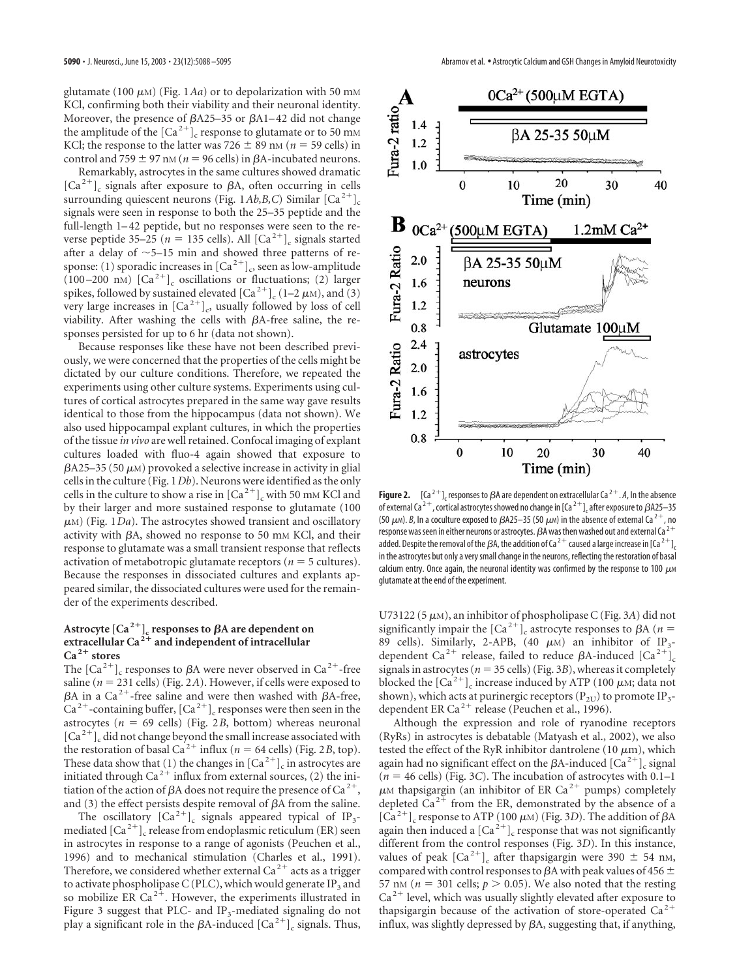glutamate (100  $\mu$ м) (Fig. 1*Aa*) or to depolarization with 50 mм KCl, confirming both their viability and their neuronal identity. Moreover, the presence of  $\beta$ A25–35 or  $\beta$ A1–42 did not change the amplitude of the  $\left[Ca^{2+}\right]_c$  response to glutamate or to 50 mM KCl; the response to the latter was  $726 \pm 89$  nm ( $n = 59$  cells) in control and  $759 \pm 97$  nM ( $n = 96$  cells) in  $\beta$ A-incubated neurons.

Remarkably, astrocytes in the same cultures showed dramatic  $[Ca^{2+}]_c$  signals after exposure to  $\beta A$ , often occurring in cells surrounding quiescent neurons (Fig. 1*Ab,B,C*) Similar  $\left[Ca^{2+}\right]c$ signals were seen in response to both the 25–35 peptide and the full-length 1–42 peptide, but no responses were seen to the reverse peptide 35–25 ( $n = 135$  cells). All  $\lceil Ca^{2+} \rceil$  signals started after a delay of  $\sim$  5–15 min and showed three patterns of response: (1) sporadic increases in  $\lbrack Ca^{2+}\rbrack_c$ , seen as low-amplitude (100–200 nm)  $\left[Ca^{2+}\right]$ <sub>c</sub> oscillations or fluctuations; (2) larger spikes, followed by sustained elevated  $\left[Ca^{2+}\right]_{c}$  (1–2  $\mu$ M), and (3) very large increases in  $\lceil Ca^{2+} \rceil$ , usually followed by loss of cell viability. After washing the cells with  $\beta$ A-free saline, the responses persisted for up to 6 hr (data not shown).

Because responses like these have not been described previously, we were concerned that the properties of the cells might be dictated by our culture conditions. Therefore, we repeated the experiments using other culture systems. Experiments using cultures of cortical astrocytes prepared in the same way gave results identical to those from the hippocampus (data not shown). We also used hippocampal explant cultures, in which the properties of the tissue *in vivo* are well retained. Confocal imaging of explant cultures loaded with fluo-4 again showed that exposure to  $\beta$ A25–35 (50  $\mu$ m) provoked a selective increase in activity in glial cells in the culture (Fig. 1*Db*). Neurons were identified as the only cells in the culture to show a rise in  $\left[Ca^{2+}\right]$ <sub>c</sub> with 50 mm KCl and by their larger and more sustained response to glutamate (100  $\mu$ m) (Fig. 1*Da*). The astrocytes showed transient and oscillatory activity with  $\beta A$ , showed no response to 50 mm KCl, and their response to glutamate was a small transient response that reflects activation of metabotropic glutamate receptors ( $n = 5$  cultures). Because the responses in dissociated cultures and explants appeared similar, the dissociated cultures were used for the remainder of the experiments described.

# Astrocyte  ${[Ca^2]}_c$  responses to  $\beta$ A are dependent on **extracellular Ca <sup>2</sup> and independent of intracellular Ca <sup>2</sup> stores**

The  $\left[Ca^{2+}\right]$ <sub>c</sub> responses to  $\beta A$  were never observed in  $Ca^{2+}$ -free saline ( $n = 231$  cells) (Fig. 2A). However, if cells were exposed to  $\beta$ A in a Ca<sup>2+</sup>-free saline and were then washed with  $\beta$ A-free,  $Ca^{2+}$ -containing buffer,  $[Ca^{2+}]_c$  responses were then seen in the astrocytes ( $n = 69$  cells) (Fig. 2*B*, bottom) whereas neuronal  $\left[Ca^{2+}\right]$ <sub>c</sub> did not change beyond the small increase associated with the restoration of basal Ca<sup>2+</sup> influx ( $n = 64$  cells) (Fig. 2*B*, top). These data show that (1) the changes in  $\left[Ca^{2+}\right]_c$  in astrocytes are initiated through Ca<sup>2+</sup> influx from external sources, (2) the initiation of the action of  $\beta A$  does not require the presence of  $Ca^{2+}$ , and (3) the effect persists despite removal of  $\beta A$  from the saline.

The oscillatory  $\left[\text{Ca}^{2+}\right]_{c}$  signals appeared typical of IP<sub>3</sub>mediated  $\left[Ca^{2+}\right]$ <sub>c</sub> release from endoplasmic reticulum (ER) seen in astrocytes in response to a range of agonists (Peuchen et al., 1996) and to mechanical stimulation (Charles et al., 1991). Therefore, we considered whether external Ca  $^{2+}$  acts as a trigger to activate phospholipase C (PLC), which would generate IP<sub>3</sub> and so mobilize ER Ca<sup>2+</sup>. However, the experiments illustrated in Figure 3 suggest that PLC- and  $IP_3$ -mediated signaling do not play a significant role in the  $\beta$ A-induced  $\left[Ca^{2+}\right]$ <sub>c</sub> signals. Thus,



**Figure 2.**  $[(a^{2+}]$ , responses to  $\beta$ A are dependent on extracellular Ca<sup>2+</sup>. A, In the absence of external Ca<sup>2+</sup>, cortical astrocytes showed no change in [Ca<sup>2+</sup>]<sub>c</sub> after exposure to  $\beta$ A25–35 (50  $\mu$ m). *B*, In a coculture exposed to *B*A25–35 (50  $\mu$ m) in the absence of external Ca<sup>2+</sup>, no response was seen in either neurons or astrocytes.  $\beta$ A was then washed out and external Ca<sup>2+</sup> added. Despite the removal of the  $\beta A$ , the addition of Ca<sup>2+</sup> caused a large increase in [Ca<sup>2+</sup>]<sub>c</sub> in the astrocytes but only a very small change in the neurons, reflecting the restoration of basal calcium entry. Once again, the neuronal identity was confirmed by the response to 100  $\mu$ m glutamate at the end of the experiment.

U73122 (5-M), an inhibitor of phospholipase C (Fig. 3*A*) did not significantly impair the  $\left[Ca^{2+}\right]_c$  astrocyte responses to  $\beta A$  (*n* = 89 cells). Similarly, 2-APB, (40  $\mu$ M) an inhibitor of IP<sub>3</sub>dependent Ca<sup>2+</sup> release, failed to reduce  $\beta$ A-induced  $\left[Ca^{2+}\right]$ <sub>c</sub> signals in astrocytes ( $n = 35$  cells) (Fig. 3*B*), whereas it completely blocked the  $\left[Ca^{2+}\right]$ <sub>c</sub> increase induced by ATP (100  $\mu$ M; data not shown), which acts at purinergic receptors ( $P_{2U}$ ) to promote IP<sub>3</sub>dependent ER Ca<sup>2+</sup> release (Peuchen et al., 1996).

Although the expression and role of ryanodine receptors (RyRs) in astrocytes is debatable (Matyash et al., 2002), we also tested the effect of the RyR inhibitor dantrolene (10  $\mu$ m), which again had no significant effect on the  $\beta$ A-induced  $\lceil Ca^{2+} \rceil_c$  signal  $(n = 46$  cells) (Fig. 3*C*). The incubation of astrocytes with 0.1–1  $\mu$ M thapsigargin (an inhibitor of ER Ca<sup>2+</sup> pumps) completely depleted  $Ca^{2+}$  from the ER, demonstrated by the absence of a  $[C\mathsf{a}^{2+}]_c$  response to ATP (100  $\mu$ M) (Fig. 3*D*). The addition of  $\beta$ A again then induced a  $\left[Ca^{2+}\right]$ <sub>c</sub> response that was not significantly different from the control responses (Fig. 3*D*). In this instance, values of peak  $\left[Ca^{2+}\right]$ <sub>c</sub> after thapsigargin were 390  $\pm$  54 nm, compared with control responses to  $\beta$ A with peak values of 456  $\pm$ 57 nm ( $n = 301$  cells;  $p > 0.05$ ). We also noted that the resting  $Ca<sup>2+</sup>$  level, which was usually slightly elevated after exposure to thapsigargin because of the activation of store-operated  $Ca<sup>2+</sup>$ influx, was slightly depressed by  $\beta A$ , suggesting that, if anything,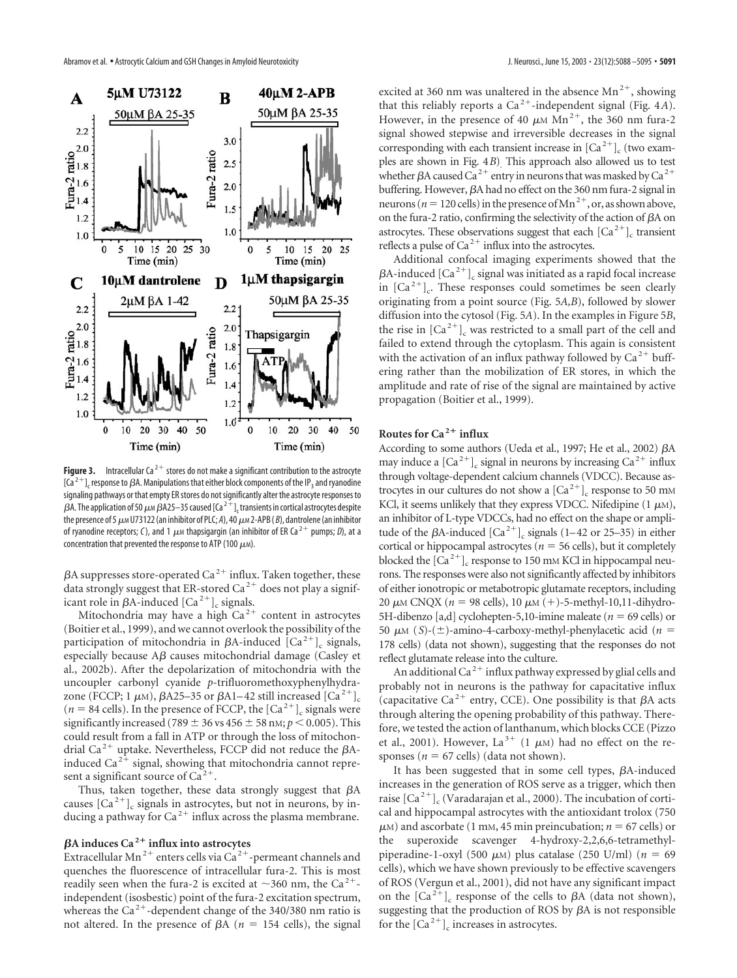

**Figure 3.** Intracellular Ca<sup>2+</sup> stores do not make a significant contribution to the astrocyte  $[Ca^{2+}]$ , response to  $\beta A$ . Manipulations that either block components of the IP<sub>3</sub> and ryanodine signaling pathways or that empty ER stores do not significantly alter the astrocyte responses to  $\beta$ A. The application of 50  $\mu$ м  $\beta$ A25–35 caused [Ca  $^{2+1}$ ], transients in cortical astrocytes despite the presence of 5  $\mu$ м U73122 (an inhibitor of PLC; *A*), 40  $\mu$ м 2-APB ( *B*), dantrolene (an inhibitor of ryanodine receptors; C), and 1  $\mu$ m thapsigargin (an inhibitor of ER Ca<sup>2+</sup> pumps; D), at a concentration that prevented the response to ATP (100  $\mu$ m).

 $\beta$ A suppresses store-operated Ca<sup>2+</sup> influx. Taken together, these data strongly suggest that ER-stored Ca<sup>2+</sup> does not play a significant role in  $\beta$ A-induced  $\lceil$ Ca<sup>2+</sup> $\rceil_c$  signals.

Mitochondria may have a high  $Ca<sup>2+</sup>$  content in astrocytes (Boitier et al., 1999), and we cannot overlook the possibility of the participation of mitochondria in  $\beta$ A-induced  $\lbrack Ca^{2+}\rbrack _c$  signals, especially because  $\overrightarrow{AB}$  causes mitochondrial damage (Casley et al., 2002b). After the depolarization of mitochondria with the uncoupler carbonyl cyanide *p*-trifluoromethoxyphenylhydrazone (FCCP; 1  $\mu$ M),  $\beta$ A25–35 or  $\beta$ A1–42 still increased [Ca<sup>2+</sup>]<sub>c</sub>  $(n = 84$  cells). In the presence of FCCP, the  $\left[Ca^{2+}\right]_c$  signals were significantly increased (789  $\pm$  36 vs 456  $\pm$  58 nm;  $p$  < 0.005). This could result from a fall in ATP or through the loss of mitochondrial Ca<sup>2+</sup> uptake. Nevertheless, FCCP did not reduce the  $\beta$ Ainduced Ca<sup>2+</sup> signal, showing that mitochondria cannot represent a significant source of  $Ca^{2+}$ .

Thus, taken together, these data strongly suggest that  $\beta A$ causes  $\lceil Ca^{2+} \rceil_c$  signals in astrocytes, but not in neurons, by inducing a pathway for  $Ca^{2+}$  influx across the plasma membrane.

# -**A induces Ca <sup>2</sup> influx into astrocytes**

Extracellular Mn<sup>2+</sup> enters cells via  $Ca^{2+}$ -permeant channels and quenches the fluorescence of intracellular fura-2. This is most readily seen when the fura-2 is excited at  $\sim$ 360 nm, the Ca<sup>2+</sup>independent (isosbestic) point of the fura-2 excitation spectrum, whereas the Ca<sup>2+</sup>-dependent change of the 340/380 nm ratio is not altered. In the presence of  $\beta A$  ( $n = 154$  cells), the signal

excited at 360 nm was unaltered in the absence  $Mn^{2+}$ , showing that this reliably reports a  $Ca^{2+}$ -independent signal (Fig. 4*A*). However, in the presence of 40  $\mu$ M Mn<sup>2+</sup>, the 360 nm fura-2 signal showed stepwise and irreversible decreases in the signal corresponding with each transient increase in  $[Ca^{2+}]_c$  (two examples are shown in Fig. 4*B*). This approach also allowed us to test whether  $\beta$ A caused Ca<sup>2+</sup> entry in neurons that was masked by Ca<sup>2+</sup> buffering. However,  $\beta A$  had no effect on the 360 nm fura-2 signal in neurons ( $n = 120$  cells) in the presence of Mn<sup>2+</sup>, or, as shown above, on the fura-2 ratio, confirming the selectivity of the action of  $\beta A$  on astrocytes. These observations suggest that each  $\left[Ca^{2+}\right]$ <sub>c</sub> transient reflects a pulse of  $Ca^{2+}$  influx into the astrocytes.

Additional confocal imaging experiments showed that the  $\beta$ A-induced  $\lbrack Ca^{2+}\rbrack _c$  signal was initiated as a rapid focal increase in  $[Ca^{2+}]$ . These responses could sometimes be seen clearly originating from a point source (Fig. 5*A,B*), followed by slower diffusion into the cytosol (Fig. 5*A*). In the examples in Figure 5*B*, the rise in  $\left[Ca^{2+}\right]_c$  was restricted to a small part of the cell and failed to extend through the cytoplasm. This again is consistent with the activation of an influx pathway followed by  $Ca^{2+}$  buffering rather than the mobilization of ER stores, in which the amplitude and rate of rise of the signal are maintained by active propagation (Boitier et al., 1999).

# **Routes for Ca <sup>2</sup> influx**

According to some authors (Ueda et al., 1997; He et al., 2002)  $\beta A$ may induce a  $\left[Ca^{2+}\right]$ <sub>c</sub> signal in neurons by increasing  $Ca^{2+}$  influx through voltage-dependent calcium channels (VDCC). Because astrocytes in our cultures do not show a  $\left[Ca^{2+}\right]$ <sub>c</sub> response to 50 mM KCl, it seems unlikely that they express VDCC. Nifedipine  $(1 \mu M)$ , an inhibitor of L-type VDCCs, had no effect on the shape or amplitude of the  $\beta$ A-induced  $\left[Ca^{2+}\right]_c$  signals (1–42 or 25–35) in either cortical or hippocampal astrocytes ( $n = 56$  cells), but it completely blocked the  $\left[Ca^{2+}\right]$ <sub>c</sub> response to 150 mm KCl in hippocampal neurons. The responses were also not significantly affected by inhibitors of either ionotropic or metabotropic glutamate receptors, including 20  $\mu$ M CNQX (*n* = 98 cells), 10  $\mu$ M (+)-5-methyl-10,11-dihydro-5H-dibenzo [a,d] cyclohepten-5,10-imine maleate ( $n = 69$  cells) or 50  $\mu$ <sub>M</sub> (*S*)-( $\pm$ )-amino-4-carboxy-methyl-phenylacetic acid (*n* = 178 cells) (data not shown), suggesting that the responses do not reflect glutamate release into the culture.

An additional Ca<sup>2+</sup> influx pathway expressed by glial cells and probably not in neurons is the pathway for capacitative influx (capacitative Ca<sup>2+</sup> entry, CCE). One possibility is that  $\beta A$  acts through altering the opening probability of this pathway. Therefore, we tested the action of lanthanum, which blocks CCE (Pizzo et al., 2001). However, La<sup>3+</sup> (1  $\mu$ M) had no effect on the responses ( $n = 67$  cells) (data not shown).

It has been suggested that in some cell types,  $\beta$ A-induced increases in the generation of ROS serve as a trigger, which then raise  $\left[Ca^{2+}\right]_{c}$  (Varadarajan et al., 2000). The incubation of cortical and hippocampal astrocytes with the antioxidant trolox (750  $\mu$ <sub>M</sub>) and ascorbate (1 mm, 45 min preincubation; *n* = 67 cells) or the superoxide scavenger 4-hydroxy-2,2,6,6-tetramethylpiperadine-1-oxyl (500  $\mu$ <sub>M</sub>) plus catalase (250 U/ml) ( $n = 69$ cells), which we have shown previously to be effective scavengers of ROS (Vergun et al., 2001), did not have any significant impact on the  $\lbrack Ca^{2+}\rbrack _c$  response of the cells to  $\beta A$  (data not shown), suggesting that the production of ROS by  $\beta$ A is not responsible for the  $\left[Ca^{2+}\right]$ <sub>c</sub> increases in astrocytes.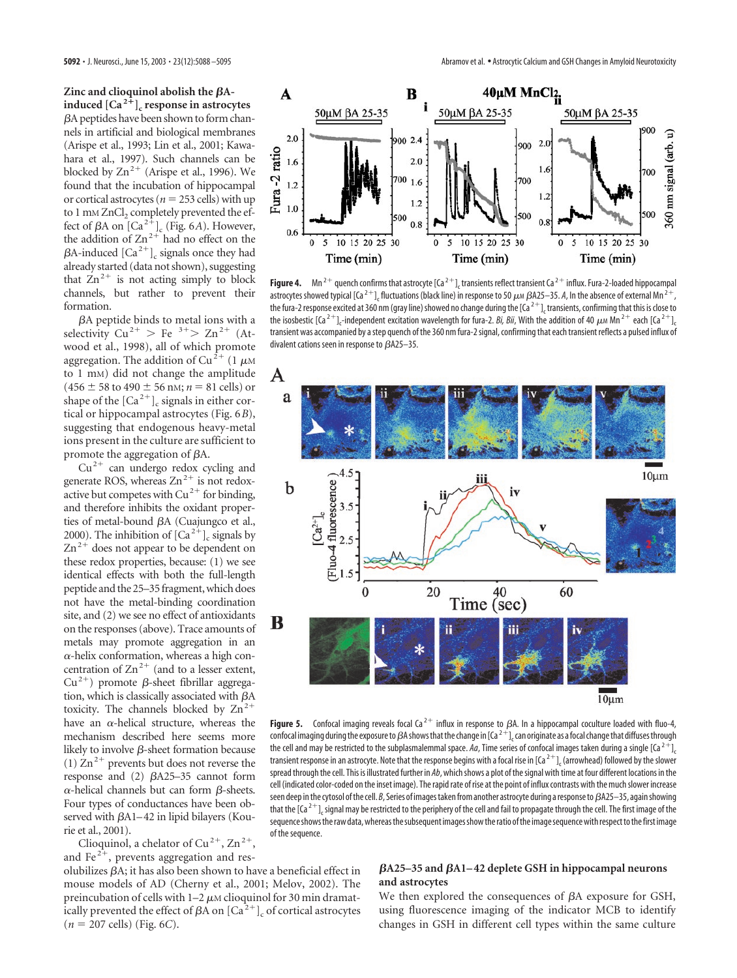Zinc and clioquinol abolish the  $\beta$ A**induced**  $[Ca^{2+}]$ <sub>c</sub> response in astrocytes A peptides have been shown to form channels in artificial and biological membranes (Arispe et al., 1993; Lin et al., 2001; Kawahara et al., 1997). Such channels can be blocked by  $\text{Zn}^{2+}$  (Arispe et al., 1996). We found that the incubation of hippocampal or cortical astrocytes ( $n = 253$  cells) with up to 1 mm ZnCl<sub>2</sub> completely prevented the effect of  $\beta A$  on  $\left[Ca^{2^{\frac{1}{r}}}\right]_{c}$  (Fig. 6*A*). However, the addition of  $\text{Zn}^{2+}$  had no effect on the  $\beta$ A-induced  $\lbrack Ca^{2+}\rbrack$  signals once they had already started (data not shown), suggesting that  $Zn^{2+}$  is not acting simply to block channels, but rather to prevent their formation.

 $\beta$ A peptide binds to metal ions with a selectivity  $Cu^{2+} > Fe^{3+} > Zn^{2+}$  (Atwood et al., 1998), all of which promote aggregation. The addition of Cu<sup>2+</sup> (1  $\mu$ m to 1 mM) did not change the amplitude  $(456 \pm 58 \text{ to } 490 \pm 56 \text{ nm}; n = 81 \text{ cells})$  or shape of the  $[Ca<sup>2+</sup>]_{c}$  signals in either cortical or hippocampal astrocytes (Fig. 6*B*), suggesting that endogenous heavy-metal ions present in the culture are sufficient to promote the aggregation of  $\beta A$ .

 $Cu<sup>2+</sup>$  can undergo redox cycling and generate ROS, whereas  $Zn^{2+}$  is not redoxactive but competes with  $Cu^{2+}$  for binding, and therefore inhibits the oxidant properties of metal-bound  $\beta A$  (Cuajungco et al., 2000). The inhibition of  $\left[Ca^{2+}\right]$ <sub>c</sub> signals by  $\text{Zn}^{2+}$  does not appear to be dependent on these redox properties, because: (1) we see identical effects with both the full-length peptide and the 25–35 fragment, which does not have the metal-binding coordination site, and (2) we see no effect of antioxidants on the responses (above). Trace amounts of metals may promote aggregation in an  $\alpha$ -helix conformation, whereas a high concentration of  $\text{Zn}^{2+}$  (and to a lesser extent,  $Cu^{2+}$ ) promote  $\beta$ -sheet fibrillar aggregation, which is classically associated with  $\beta A$ toxicity. The channels blocked by  $\text{Zn}^{2+}$ have an  $\alpha$ -helical structure, whereas the mechanism described here seems more likely to involve  $\beta$ -sheet formation because (1)  $\text{Zn}^2$ <sup>+</sup> prevents but does not reverse the response and  $(2)$   $\beta$ A25–35 cannot form  $\alpha$ -helical channels but can form  $\beta$ -sheets. Four types of conductances have been observed with  $\beta$ A1–42 in lipid bilayers (Kourie et al., 2001).

Clioquinol, a chelator of Cu<sup>2+</sup>, Zn<sup>2+</sup>, and Fe $2^+$ , prevents aggregation and res-

olubilizes  $\beta A$ ; it has also been shown to have a beneficial effect in mouse models of AD (Cherny et al., 2001; Melov, 2002). The preincubation of cells with 1–2  $\mu$ м clioquinol for 30 min dramatically prevented the effect of  $\beta A$  on  $\left[Ca^{2+}\right]_c$  of cortical astrocytes  $(n = 207$  cells) (Fig. 6*C*).



**Figure 4.** Mn<sup>2+</sup> quench confirms that astrocyte [Ca<sup>2+</sup>], transients reflect transient Ca<sup>2+</sup> influx. Fura-2-loaded hippocampal astrocytes showed typical [Ca<sup>2+</sup>]. fluctuations (black line) in response to 50  $\mu$ m *β*A25–35. *A*, In the absence of external Mn <sup>2+</sup>, the fura-2 response excited at 360 nm (gray line) showed no change during the  $[Ga^{2+}]$ , transients, confirming that this is close to the isosbestic [Ca<sup>2+</sup>]<sub>c</sub>-independent excitation wavelength for fura-2. *Bi, Bii,* With the addition of 40  $\mu$ м Mn <sup>2+</sup> each [Ca<sup>2+</sup>]<sub>c</sub> transient was accompanied by a step quench of the 360 nm fura-2 signal, confirming that each transient reflects a pulsed influx of divalent cations seen in response to  $\beta$ A25-35.



**Figure 5.** Confocal imaging reveals focal Ca<sup>2+</sup> influx in response to  $\beta$ A. In a hippocampal coculture loaded with fluo-4, confocal imaging during the exposure to  $\beta$ A shows that the change in [Ca<sup>2+</sup>], can originate as a focal change that diffuses through the cell and may be restricted to the subplasmalemmal space. Aa, Time series of confocal images taken during a single  $[Ca<sup>2+</sup>]$ , transient response in an astrocyte. Note that the response begins with a focal rise in  $[Ca<sup>2+</sup>]$ , (arrowhead) followed by the slower spread through the cell. This is illustrated further in *Ab*, which shows a plot of the signal with time at four different locations in the cell (indicated color-coded on the inset image). The rapid rate of rise at the point of influx contrasts with the much slower increase seen deep in the cytosol of the cell. *B*, Series of images taken from another astrocyte during a response to  $\beta$ A25–35, again showing that the  $[Ca^{2+}]$ , signal may be restricted to the periphery of the cell and fail to propagate through the cell. The first image of the sequence shows the raw data, whereas the subsequent images show the ratio of the image sequence with respect to the first image of the sequence.

# βA25–35 and βA1–42 deplete GSH in hippocampal neurons **and astrocytes**

We then explored the consequences of  $\beta A$  exposure for GSH, using fluorescence imaging of the indicator MCB to identify changes in GSH in different cell types within the same culture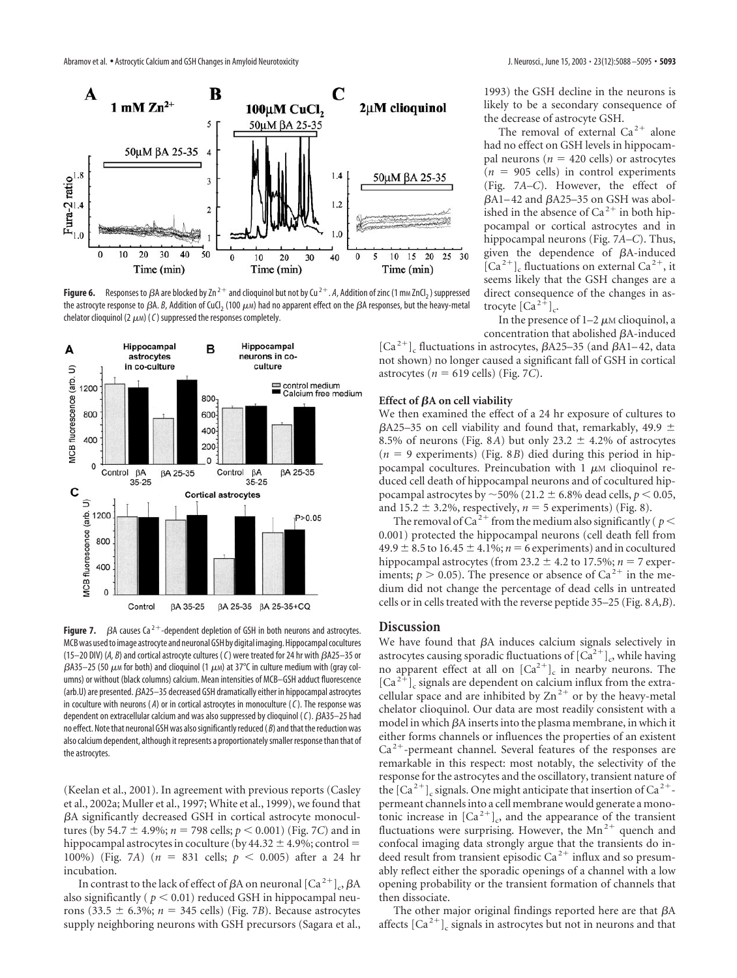

**Figure 6.** Responses to  $\beta A$  are blocked by  $\text{Zn}^{2+}$  and clioquinol but not by  $\text{Cu}^{2+}$ . A, Addition of zinc (1 mm ZnCl<sub>2</sub>) suppressed the astrocyte response to  $\beta$ A.  $\beta$ , Addition of CuCl<sub>2</sub> (100  $\mu$ м) had no apparent effect on the  $\beta$ A responses, but the heavy-metal chelator clioquinol (2  $\mu$ m) (C) suppressed the responses completely.



**Figure 7.**  $\beta$ A causes Ca<sup>2+</sup>-dependent depletion of GSH in both neurons and astrocytes. MCB was used to image astrocyte and neuronal GSH by digital imaging. Hippocampal cocultures (15–20 DIV) (A, B) and cortical astrocyte cultures (C) were treated for 24 hr with  $BA25-35$  or  $\beta$ A35–25 (50  $\mu$ m for both) and clioquinol (1  $\mu$ m) at 37°C in culture medium with (gray columns) or without (black columns) calcium. Mean intensities of MCB–GSH adduct fluorescence (arb.U) are presented.  $\beta$ A25–35 decreased GSH dramatically either in hippocampal astrocytes in coculture with neurons ( *A*) or in cortical astrocytes in monoculture (*C*). The response was dependent on extracellular calcium and was also suppressed by clioquinol (C).  $\beta$ A35-25 had no effect. Note that neuronal GSH was also significantly reduced ( *B*) and that the reduction was also calcium dependent, although it represents a proportionately smaller response than that of the astrocytes.

(Keelan et al., 2001). In agreement with previous reports (Casley et al., 2002a; Muller et al., 1997; White et al., 1999), we found that A significantly decreased GSH in cortical astrocyte monocultures (by 54.7  $\pm$  4.9%; *n* = 798 cells; *p* < 0.001) (Fig. 7*C*) and in hippocampal astrocytes in coculture (by  $44.32 \pm 4.9\%$ ; control = 100%) (Fig. 7*A*)  $(n = 831 \text{ cells}; p < 0.005)$  after a 24 hr incubation.

In contrast to the lack of effect of  $\beta A$  on neuronal  $\left[Ca^{2+}\right]_{c}$ ,  $\beta A$ also significantly ( $p < 0.01$ ) reduced GSH in hippocampal neurons (33.5  $\pm$  6.3%; *n* = 345 cells) (Fig. 7*B*). Because astrocytes supply neighboring neurons with GSH precursors (Sagara et al.,

1993) the GSH decline in the neurons is likely to be a secondary consequence of the decrease of astrocyte GSH.

The removal of external  $Ca^{2+}$  alone had no effect on GSH levels in hippocampal neurons ( $n = 420$  cells) or astrocytes  $(n = 905$  cells) in control experiments (Fig. 7*A–C*). However, the effect of  $\beta$ A1–42 and  $\beta$ A25–35 on GSH was abolished in the absence of  $Ca^{2+}$  in both hippocampal or cortical astrocytes and in hippocampal neurons (Fig. 7*A–C*). Thus, given the dependence of  $\beta$ A-induced  $[Ca<sup>2+</sup>]$ <sub>c</sub> fluctuations on external Ca<sup>2+</sup>, it seems likely that the GSH changes are a direct consequence of the changes in astrocyte  $\left[Ca^{2+}\right]$ <sub>c</sub>.

In the presence of  $1-2 \mu$ M clioquinol, a concentration that abolished A-induced

 $\left[Ca^{2+}\right]_c$  fluctuations in astrocytes,  $\beta$ A25–35 (and  $\beta$ A1–42, data not shown) no longer caused a significant fall of GSH in cortical astrocytes ( $n = 619$  cells) (Fig. 7*C*).

#### **Effect of βA on cell viability**

We then examined the effect of a 24 hr exposure of cultures to  $\beta$ A25–35 on cell viability and found that, remarkably, 49.9  $\pm$ 8.5% of neurons (Fig. 8*A*) but only 23.2  $\pm$  4.2% of astrocytes  $(n = 9$  experiments) (Fig. 8*B*) died during this period in hippocampal cocultures. Preincubation with  $1 \mu$ M clioquinol reduced cell death of hippocampal neurons and of cocultured hippocampal astrocytes by  $\sim$  50% (21.2  $\pm$  6.8% dead cells,  $p$   $<$  0.05, and  $15.2 \pm 3.2\%$ , respectively,  $n = 5$  experiments) (Fig. 8).

The removal of Ca<sup>2+</sup> from the medium also significantly ( $p$  < 0.001) protected the hippocampal neurons (cell death fell from  $49.9 \pm 8.5$  to  $16.45 \pm 4.1\%$ ;  $n = 6$  experiments) and in cocultured hippocampal astrocytes (from 23.2  $\pm$  4.2 to 17.5%; *n* = 7 experiments;  $p > 0.05$ ). The presence or absence of Ca<sup>2+</sup> in the medium did not change the percentage of dead cells in untreated cells or in cells treated with the reverse peptide 35–25 (Fig. 8*A,B*).

## **Discussion**

We have found that  $\beta A$  induces calcium signals selectively in astrocytes causing sporadic fluctuations of  $[Ca^{2+}]_c$ , while having no apparent effect at all on  $[Ca^{2+}]c$  in nearby neurons. The  $\left[Ca^{2+}\right]$ <sub>c</sub> signals are dependent on calcium influx from the extracellular space and are inhibited by  $Zn^{2+}$  or by the heavy-metal chelator clioquinol. Our data are most readily consistent with a model in which  $\beta A$  inserts into the plasma membrane, in which it either forms channels or influences the properties of an existent  $Ca<sup>2+</sup>$ -permeant channel. Several features of the responses are remarkable in this respect: most notably, the selectivity of the response for the astrocytes and the oscillatory, transient nature of the  $\lceil Ca^{2+} \rceil$  signals. One might anticipate that insertion of  $Ca^{2+}$ permeant channels into a cell membrane would generate a monotonic increase in  $\left[Ca^{2+}\right]$ <sub>c</sub>, and the appearance of the transient fluctuations were surprising. However, the  $Mn^{2+}$  quench and confocal imaging data strongly argue that the transients do indeed result from transient episodic Ca<sup>2+</sup> influx and so presumably reflect either the sporadic openings of a channel with a low opening probability or the transient formation of channels that then dissociate.

The other major original findings reported here are that  $\beta A$ affects  $\left[Ca^{2+}\right]$ <sub>c</sub> signals in astrocytes but not in neurons and that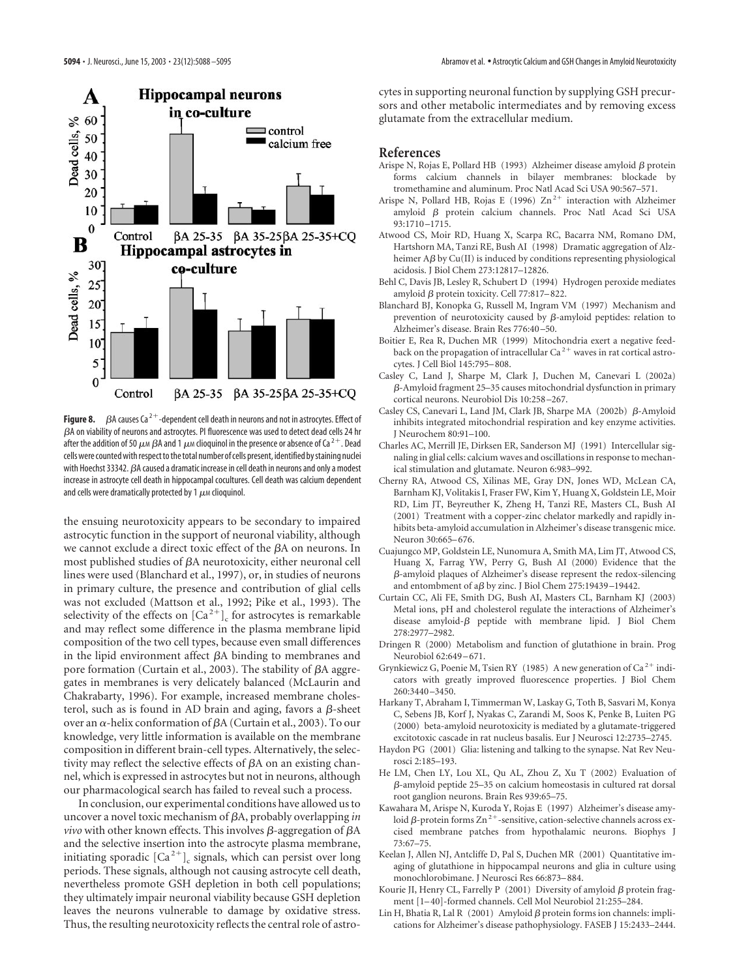



the ensuing neurotoxicity appears to be secondary to impaired astrocytic function in the support of neuronal viability, although we cannot exclude a direct toxic effect of the  $\beta A$  on neurons. In most published studies of  $\beta A$  neurotoxicity, either neuronal cell lines were used (Blanchard et al., 1997), or, in studies of neurons in primary culture, the presence and contribution of glial cells was not excluded (Mattson et al., 1992; Pike et al., 1993). The selectivity of the effects on  $\lbrack Ca^{2+}\rbrack _c$  for astrocytes is remarkable and may reflect some difference in the plasma membrane lipid composition of the two cell types, because even small differences in the lipid environment affect  $\beta A$  binding to membranes and pore formation (Curtain et al., 2003). The stability of  $\beta A$  aggregates in membranes is very delicately balanced (McLaurin and Chakrabarty, 1996). For example, increased membrane cholesterol, such as is found in AD brain and aging, favors a  $\beta$ -sheet over an  $\alpha$ -helix conformation of  $\beta A$  (Curtain et al., 2003). To our knowledge, very little information is available on the membrane composition in different brain-cell types. Alternatively, the selectivity may reflect the selective effects of  $\beta A$  on an existing channel, which is expressed in astrocytes but not in neurons, although our pharmacological search has failed to reveal such a process.

In conclusion, our experimental conditions have allowed us to uncover a novel toxic mechanism of A, probably overlapping *in vivo* with other known effects. This involves  $\beta$ -aggregation of  $\beta A$ and the selective insertion into the astrocyte plasma membrane, initiating sporadic  $\left[Ca^{2+}\right]$ , signals, which can persist over long periods. These signals, although not causing astrocyte cell death, nevertheless promote GSH depletion in both cell populations; they ultimately impair neuronal viability because GSH depletion leaves the neurons vulnerable to damage by oxidative stress. Thus, the resulting neurotoxicity reflects the central role of astrocytes in supporting neuronal function by supplying GSH precursors and other metabolic intermediates and by removing excess glutamate from the extracellular medium.

## **References**

- Arispe N, Rojas E, Pollard HB (1993) Alzheimer disease amyloid  $\beta$  protein forms calcium channels in bilayer membranes: blockade by tromethamine and aluminum. Proc Natl Acad Sci USA 90:567–571.
- Arispe N, Pollard HB, Rojas E (1996)  $Zn^{2+}$  interaction with Alzheimer amyloid  $\beta$  protein calcium channels. Proc Natl Acad Sci USA 93:1710–1715.
- Atwood CS, Moir RD, Huang X, Scarpa RC, Bacarra NM, Romano DM, Hartshorn MA, Tanzi RE, Bush AI (1998) Dramatic aggregation of Alzheimer  $A\beta$  by Cu(II) is induced by conditions representing physiological acidosis. J Biol Chem 273:12817–12826.
- Behl C, Davis JB, Lesley R, Schubert D (1994) Hydrogen peroxide mediates amyloid  $\beta$  protein toxicity. Cell 77:817-822.
- Blanchard BJ, Konopka G, Russell M, Ingram VM (1997) Mechanism and prevention of neurotoxicity caused by  $\beta$ -amyloid peptides: relation to Alzheimer's disease. Brain Res 776:40–50.
- Boitier E, Rea R, Duchen MR (1999) Mitochondria exert a negative feedback on the propagation of intracellular  $Ca^{2+}$  waves in rat cortical astrocytes. J Cell Biol 145:795–808.
- Casley C, Land J, Sharpe M, Clark J, Duchen M, Canevari L (2002a) -Amyloid fragment 25–35 causes mitochondrial dysfunction in primary cortical neurons. Neurobiol Dis 10:258–267.
- Casley CS, Canevari L, Land JM, Clark JB, Sharpe MA  $(2002b)$   $\beta$ -Amyloid inhibits integrated mitochondrial respiration and key enzyme activities. J Neurochem 80:91–100.
- Charles AC, Merrill JE, Dirksen ER, Sanderson MJ (1991) Intercellular signaling in glial cells: calcium waves and oscillations in response to mechanical stimulation and glutamate. Neuron 6:983–992.
- Cherny RA, Atwood CS, Xilinas ME, Gray DN, Jones WD, McLean CA, Barnham KJ, Volitakis I, Fraser FW, Kim Y, Huang X, Goldstein LE, Moir RD, Lim JT, Beyreuther K, Zheng H, Tanzi RE, Masters CL, Bush AI (2001) Treatment with a copper-zinc chelator markedly and rapidly inhibits beta-amyloid accumulation in Alzheimer's disease transgenic mice. Neuron 30:665–676.
- Cuajungco MP, Goldstein LE, Nunomura A, Smith MA, Lim JT, Atwood CS, Huang X, Farrag YW, Perry G, Bush AI (2000) Evidence that the  $\beta$ -amyloid plaques of Alzheimer's disease represent the redox-silencing and entombment of a $\beta$  by zinc. J Biol Chem 275:19439-19442.
- Curtain CC, Ali FE, Smith DG, Bush AI, Masters CL, Barnham KJ (2003) Metal ions, pH and cholesterol regulate the interactions of Alzheimer's disease amyloid- $\beta$  peptide with membrane lipid. J Biol Chem 278:2977–2982.
- Dringen R (2000) Metabolism and function of glutathione in brain. Prog Neurobiol 62:649–671.
- Grynkiewicz G, Poenie M, Tsien RY (1985) A new generation of Ca<sup>2+</sup> indicators with greatly improved fluorescence properties. J Biol Chem 260:3440–3450.
- Harkany T, Abraham I, Timmerman W, Laskay G, Toth B, Sasvari M, Konya C, Sebens JB, Korf J, Nyakas C, Zarandi M, Soos K, Penke B, Luiten PG (2000) beta-amyloid neurotoxicity is mediated by a glutamate-triggered excitotoxic cascade in rat nucleus basalis. Eur J Neurosci 12:2735–2745.
- Haydon PG (2001) Glia: listening and talking to the synapse. Nat Rev Neurosci 2:185–193.
- He LM, Chen LY, Lou XL, Qu AL, Zhou Z, Xu T (2002) Evaluation of  $\beta$ -amyloid peptide 25–35 on calcium homeostasis in cultured rat dorsal root ganglion neurons. Brain Res 939:65–75.
- Kawahara M, Arispe N, Kuroda Y, Rojas E (1997) Alzheimer's disease amyloid  $\beta$ -protein forms Zn<sup>2+</sup>-sensitive, cation-selective channels across excised membrane patches from hypothalamic neurons. Biophys J 73:67–75.
- Keelan J, Allen NJ, Antcliffe D, Pal S, Duchen MR (2001) Quantitative imaging of glutathione in hippocampal neurons and glia in culture using monochlorobimane. J Neurosci Res 66:873–884.
- Kourie JI, Henry CL, Farrelly P (2001) Diversity of amyloid  $\beta$  protein fragment [1–40]-formed channels. Cell Mol Neurobiol 21:255–284.
- Lin H, Bhatia R, Lal R  $(2001)$  Amyloid  $\beta$  protein forms ion channels: implications for Alzheimer's disease pathophysiology. FASEB J 15:2433–2444.